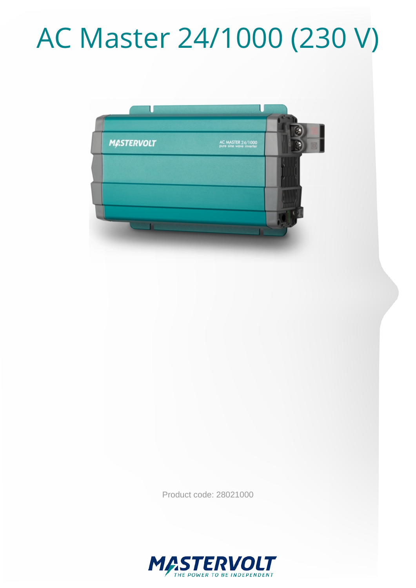# AC Master 24/1000 (230 V)



Product code: 28021000

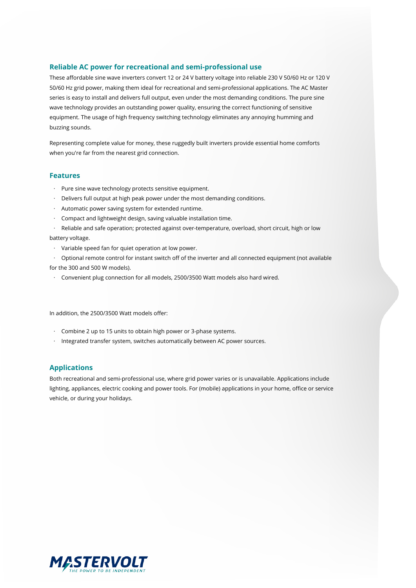#### **Reliable AC power for recreational and semi-professional use**

These affordable sine wave inverters convert 12 or 24 V battery voltage into reliable 230 V 50/60 Hz or 120 V 50/60 Hz grid power, making them ideal for recreational and semi-professional applications. The AC Master series is easy to install and delivers full output, even under the most demanding conditions. The pure sine wave technology provides an outstanding power quality, ensuring the correct functioning of sensitive equipment. The usage of high frequency switching technology eliminates any annoying humming and buzzing sounds.

Representing complete value for money, these ruggedly built inverters provide essential home comforts when you're far from the nearest grid connection.

#### **Features**

- · Pure sine wave technology protects sensitive equipment.
- · Delivers full output at high peak power under the most demanding conditions.
- · Automatic power saving system for extended runtime.
- · Compact and lightweight design, saving valuable installation time.
- · Reliable and safe operation; protected against over-temperature, overload, short circuit, high or low battery voltage.
- · Variable speed fan for quiet operation at low power.
- · Optional remote control for instant switch off of the inverter and all connected equipment (not available
- for the 300 and 500 W models).
- · Convenient plug connection for all models, 2500/3500 Watt models also hard wired.

In addition, the 2500/3500 Watt models offer:

- · Combine 2 up to 15 units to obtain high power or 3-phase systems.
- · Integrated transfer system, switches automatically between AC power sources.

#### **Applications**

Both recreational and semi-professional use, where grid power varies or is unavailable. Applications include lighting, appliances, electric cooking and power tools. For (mobile) applications in your home, office or service vehicle, or during your holidays.